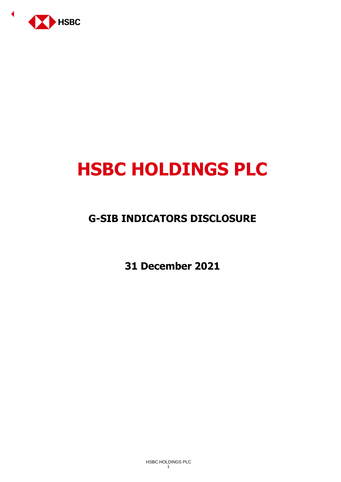

# **HSBC HOLDINGS PLC**

# **G-SIB INDICATORS DISCLOSURE**

**31 December 2021**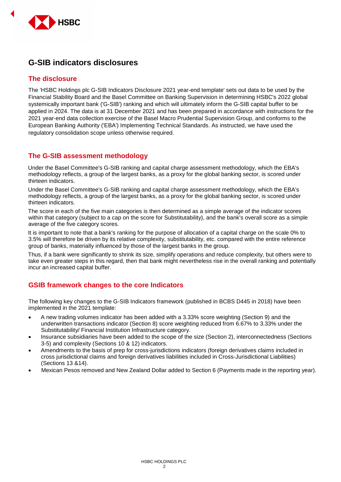

# **G-SIB indicators disclosures**

#### **The disclosure**

The 'HSBC Holdings plc G-SIB Indicators Disclosure 2021 year-end template' sets out data to be used by the Financial Stability Board and the Basel Committee on Banking Supervision in determining HSBC's 2022 global systemically important bank ('G-SIB') ranking and which will ultimately inform the G-SIB capital buffer to be applied in 2024. The data is at 31 December 2021 and has been prepared in accordance with instructions for the 2021 year-end data collection exercise of the Basel Macro Prudential Supervision Group, and conforms to the European Banking Authority ('EBA') Implementing Technical Standards. As instructed, we have used the regulatory consolidation scope unless otherwise required.

#### **The G-SIB assessment methodology**

Under the Basel Committee's G-SIB ranking and capital charge assessment methodology, which the EBA's methodology reflects, a group of the largest banks, as a proxy for the global banking sector, is scored under thirteen indicators.

Under the Basel Committee's G-SIB ranking and capital charge assessment methodology, which the EBA's methodology reflects, a group of the largest banks, as a proxy for the global banking sector, is scored under thirteen indicators.

The score in each of the five main categories is then determined as a simple average of the indicator scores within that category (subject to a cap on the score for Substitutability), and the bank's overall score as a simple average of the five category scores.

It is important to note that a bank's ranking for the purpose of allocation of a capital charge on the scale 0% to 3.5% will therefore be driven by its relative complexity, substitutability, etc. compared with the entire reference group of banks, materially influenced by those of the largest banks in the group.

Thus, if a bank were significantly to shrink its size, simplify operations and reduce complexity, but others were to take even greater steps in this regard, then that bank might nevertheless rise in the overall ranking and potentially incur an increased capital buffer.

## **GSIB framework changes to the core Indicators**

The following key changes to the G-SIB Indicators framework (published in BCBS D445 in 2018) have been implemented in the 2021 template:

- A new trading volumes indicator has been added with a 3.33% score weighting (Section 9) and the underwritten transactions indicator (Section 8) score weighting reduced from 6.67% to 3.33% under the Substitutability/ Financial Institution Infrastructure category.
- Insurance subsidiaries have been added to the scope of the size (Section 2), interconnectedness (Sections 3-5) and complexity (Sections 10 & 12) indicators.
- Amendments to the basis of prep for cross-jurisdictions indicators (foreign derivatives claims included in cross jurisdictional claims and foreign derivatives liabilities included in Cross-Jurisdictional Liabilities) (Sections 13 &14).
- Mexican Pesos removed and New Zealand Dollar added to Section 6 (Payments made in the reporting year).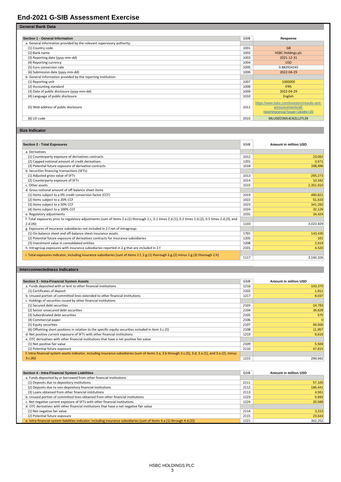### **End-2021 G-SIB Assessment Exercise**

**Section 1 - General Information Response** a. General information provided by the relevant supervisory authority: (1) Country code 1001 GB (2) Bank name 1002 HSBC Holdings plc<br>
(3) Reporting date (yyyy-mm-dd) 2021-12-31<br>
(3) Reporting date (yyyy-mm-dd) 2021-12-31 (3) Reporting date (yyyy-mm-dd) 2021-12-31 (3) Reporting date (yyyy-mm-dd) 2021-12-31 (4) Reporting currency control and the USD (4) Reporting currency control and the USD (4) Reporting currency control and the USD (4) Rep external conversion rate and the conversion rate of the conversion rate of the conversion rate and the conversion rate of the conversion rate of the conversion rate of the conversion rate of the conversion rate of the conv (5) Euro conversion rate and the typy-mm-dd) and the type of the type of the typy-mm-dd (6) Submission date (yyyy-mm-dd) and the typy-mm-dd (6) Submission date (yyyy-mm-dd) and the typy-mm-dd (6) Submission date (yyyy-mm-d (6) Submission date (yyyy-mm-dd) b. General Information provided by the reporting institution: (1) Reporting unit 1007 1000000 (2) Accounting standard and the standard and the state of public disclosure (yyyy-mm-dd) (1008 **IFRS** 1008 **IFRS** 1008 **IFRS** 1009 **IFRS** 1009 **IFRS** 1009 **IFRS** 1009 **IFRS** 1009 **IFRS** 1009 **IFRS** 1009 **IS** (3) Date of public disclosure (yyyy-mm-dd) and the comparison of the comparison of the comparison of the comparison of the comparison of the comparison of the comparison of the comparison of the comparison of the compariso (4) Language of public disclosure (5) Web address of public disclosure 1011 https://www.hsbc.com/investors/results-andannouncements/allreporting/group?page=1&take=20 (6) LEI code 2015 MLU0ZO3ML4LN2LL2TL39

#### **Size Indicator**

**General Bank Data**

| <b>Section 2 - Total Exposures</b>                                                                                                                  | GSIB | <b>Amount in million USD</b> |
|-----------------------------------------------------------------------------------------------------------------------------------------------------|------|------------------------------|
| a. Derivatives                                                                                                                                      |      |                              |
| (1) Counterparty exposure of derivatives contracts                                                                                                  | 1012 | 23,062                       |
| (2) Capped notional amount of credit derivatives                                                                                                    | 1201 | 3,671                        |
| (3) Potential future exposure of derivative contracts                                                                                               | 1018 | 108,496                      |
| b. Securities financing transactions (SFTs)                                                                                                         |      |                              |
| (1) Adjusted gross value of SFTs                                                                                                                    | 1013 | 265,273                      |
| (2) Counterparty exposure of SFTs                                                                                                                   | 1014 | 10,342                       |
| c. Other assets                                                                                                                                     | 1015 | 2,351,910                    |
| d. Gross notional amount of off-balance sheet items                                                                                                 |      |                              |
| (1) Items subject to a 0% credit conversion factor (CCF)                                                                                            | 1019 | 480.821                      |
| (2) Items subject to a 20% CCF                                                                                                                      | 1022 | 51,633                       |
| (3) Items subject to a 50% CCF                                                                                                                      | 1023 | 341,282                      |
| (4) Items subject to a 100% CCF                                                                                                                     | 1024 | 32,126                       |
| e. Regulatory adjustments                                                                                                                           | 1031 | 34,424                       |
| f. Total exposures prior to regulatory adjustments (sum of items 2.a.(1) thorough 2.c, 0.1 times 2.d.(1), 0.2 times 2.d.(2), 0.5 times 2.d.(3), and |      |                              |
| 2.d.(4)                                                                                                                                             | 1103 | 3,023,929                    |
| g. Exposures of insurance subsidiaries not included in 2.f net of intragroup:                                                                       |      |                              |
| (1) On-balance sheet and off-balance sheet insurance assets                                                                                         | 1701 | 143,435                      |
| (2) Potential future exposure of derivatives contracts for insurance subsidiaries                                                                   | 1205 | 101                          |
| (3) Investment value in consolidated entities                                                                                                       | 1208 | 2,619                        |
| h. Intragroup exposures with insurance subsidiaries reported in 2.g that are included in 2.f                                                        | 2101 | 4,520                        |
| i. Total exposures indicator, including insurance subsidiaries (sum of items 2.f, 2.g.(1) thorough 2.g.(2) minus 2.g.(3) thorough 2.h)              |      |                              |
|                                                                                                                                                     | 1117 | 3.160.326                    |

#### **Interconnectedness Indicators**

| Section 3 - Intra-Financial System Assets                                                                                                             | <b>GSIB</b> | <b>Amount in million USD</b> |
|-------------------------------------------------------------------------------------------------------------------------------------------------------|-------------|------------------------------|
| a. Funds deposited with or lent to other financial institutions                                                                                       | 1216        | 103,370                      |
| (1) Certificates of deposit                                                                                                                           | 2102        | 1,811                        |
| b. Unused portion of committed lines extended to other financial institutions                                                                         | 1217        | 8,037                        |
| c. Holdings of securities issued by other financial institutions                                                                                      |             |                              |
| (1) Secured debt securities                                                                                                                           | 2103        | 24,783                       |
| (2) Senior unsecured debt securities                                                                                                                  | 2104        | 36,628                       |
| (3) Subordinated debt securities                                                                                                                      | 2105        | 575                          |
| (4) Commercial paper                                                                                                                                  | 2106        | $\overline{0}$               |
| (5) Equity securities                                                                                                                                 | 2107        | 66,506                       |
| (6) Offsetting short positions in relation to the specific equity securities included in item 3.c.(5)                                                 | 2108        | 11,957                       |
| d. Net positive current exposure of SFTs with other financial institutions                                                                            | 1219        | 8,616                        |
| e. OTC derivatives with other financial institutions that have a net positive fair value                                                              |             |                              |
| (1) Net positive fair value                                                                                                                           | 2109        | 5,569                        |
| (2) Potential future exposure                                                                                                                         | 2110        | 47,815                       |
| f. Intra-financial system assets indicator, including insurance subsidiaries (sum of items 3.a, 3.b through 3.c.(5), 3.d, 3.e.(1), and 3.e.(2), minus |             |                              |
| 3.c.(6)                                                                                                                                               | 1215        | 289,942                      |

| Section 4 - Intra-Financial System Liabilities                                                                           | GSIB | <b>Amount in million USD</b> |
|--------------------------------------------------------------------------------------------------------------------------|------|------------------------------|
| a. Funds deposited by or borrowed from other financial institutions                                                      |      |                              |
| (1) Deposits due to depository institutions                                                                              | 2111 | 57,105                       |
| (2) Deposits due to non-depository financial institutions                                                                | 2112 | 186,441                      |
| (3) Loans obtained from other financial institutions                                                                     | 2113 | 4,561                        |
| b. Unused portion of committed lines obtained from other financial institutions                                          | 1223 | 6,692                        |
| c. Net negative current exposure of SFTs with other financial institutions                                               | 1224 | 20,588                       |
| d. OTC derivatives with other financial institutions that have a net negative fair value                                 |      |                              |
| (1) Net negative fair value                                                                                              | 2114 | 3,223                        |
| (2) Potential future exposure                                                                                            | 2115 | 23,643                       |
| e. Intra-financial system liabilities indicator, including insurance subsidiaries (sum of items 4.a.(1) through 4.d.(2)) | 1221 | 302,252                      |